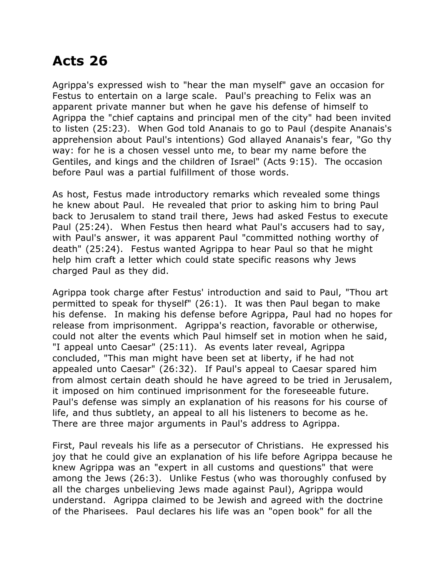## **Acts 26**

Agrippa's expressed wish to "hear the man myself" gave an occasion for Festus to entertain on a large scale. Paul's preaching to Felix was an apparent private manner but when he gave his defense of himself to Agrippa the "chief captains and principal men of the city" had been invited to listen (25:23). When God told Ananais to go to Paul (despite Ananais's apprehension about Paul's intentions) God allayed Ananais's fear, "Go thy way: for he is a chosen vessel unto me, to bear my name before the Gentiles, and kings and the children of Israel" (Acts 9:15). The occasion before Paul was a partial fulfillment of those words.

As host, Festus made introductory remarks which revealed some things he knew about Paul. He revealed that prior to asking him to bring Paul back to Jerusalem to stand trail there, Jews had asked Festus to execute Paul (25:24). When Festus then heard what Paul's accusers had to say, with Paul's answer, it was apparent Paul "committed nothing worthy of death" (25:24). Festus wanted Agrippa to hear Paul so that he might help him craft a letter which could state specific reasons why Jews charged Paul as they did.

Agrippa took charge after Festus' introduction and said to Paul, "Thou art permitted to speak for thyself" (26:1). It was then Paul began to make his defense. In making his defense before Agrippa, Paul had no hopes for release from imprisonment. Agrippa's reaction, favorable or otherwise, could not alter the events which Paul himself set in motion when he said, "I appeal unto Caesar" (25:11). As events later reveal, Agrippa concluded, "This man might have been set at liberty, if he had not appealed unto Caesar" (26:32). If Paul's appeal to Caesar spared him from almost certain death should he have agreed to be tried in Jerusalem, it imposed on him continued imprisonment for the foreseeable future. Paul's defense was simply an explanation of his reasons for his course of life, and thus subtlety, an appeal to all his listeners to become as he. There are three major arguments in Paul's address to Agrippa.

First, Paul reveals his life as a persecutor of Christians. He expressed his joy that he could give an explanation of his life before Agrippa because he knew Agrippa was an "expert in all customs and questions" that were among the Jews (26:3). Unlike Festus (who was thoroughly confused by all the charges unbelieving Jews made against Paul), Agrippa would understand. Agrippa claimed to be Jewish and agreed with the doctrine of the Pharisees. Paul declares his life was an "open book" for all the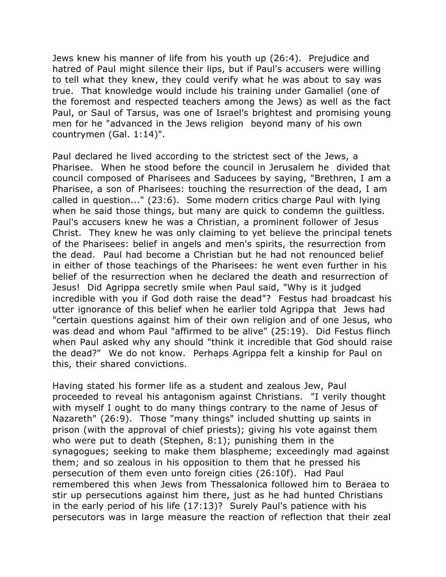Jews knew his manner of life from his youth up (26:4). Prejudice and hatred of Paul might silence their lips, but if Paul's accusers were willing to tell what they knew, they could verify what he was about to say was true. That knowledge would include his training under Gamaliel (one of the foremost and respected teachers among the Jews) as well as the fact Paul, or Saul of Tarsus, was one of Israel's brightest and promising young men for he "advanced in the Jews religion beyond many of his own countrymen (Gal. 1:14)".

Paul declared he lived according to the strictest sect of the Jews, a Pharisee. When he stood before the council in Jerusalem he divided that council composed of Pharisees and Saducees by saying, "Brethren, I am a Pharisee, a son of Pharisees: touching the resurrection of the dead, I am called in question..." (23:6). Some modern critics charge Paul with lying when he said those things, but many are quick to condemn the guiltless. Paul's accusers knew he was a Christian, a prominent follower of Jesus Christ. They knew he was only claiming to yet believe the principal tenets of the Pharisees: belief in angels and men's spirits, the resurrection from the dead. Paul had become a Christian but he had not renounced belief in either of those teachings of the Pharisees: he went even further in his belief of the resurrection when he declared the death and resurrection of Jesus! Did Agrippa secretly smile when Paul said, "Why is it judged incredible with you if God doth raise the dead"? Festus had broadcast his utter ignorance of this belief when he earlier told Agrippa that Jews had "certain questions against him of their own religion and of one Jesus, who was dead and whom Paul "affirmed to be alive" (25:19). Did Festus flinch when Paul asked why any should "think it incredible that God should raise the dead?" We do not know. Perhaps Agrippa felt a kinship for Paul on this, their shared convictions.

Having stated his former life as a student and zealous Jew, Paul proceeded to reveal his antagonism against Christians. "I verily thought with myself I ought to do many things contrary to the name of Jesus of Nazareth" (26:9). Those "many things" included shutting up saints in prison (with the approval of chief priests); giving his vote against them who were put to death (Stephen, 8:1); punishing them in the synagogues; seeking to make them blaspheme; exceedingly mad against them; and so zealous in his opposition to them that he pressed his persecution of them even unto foreign cities (26:10f). Had Paul remembered this when Jews from Thessalonica followed him to Beraea to stir up persecutions against him there, just as he had hunted Christians in the early period of his life (17:13)? Surely Paul's patience with his persecutors was in large measure the reaction of reflection that their zeal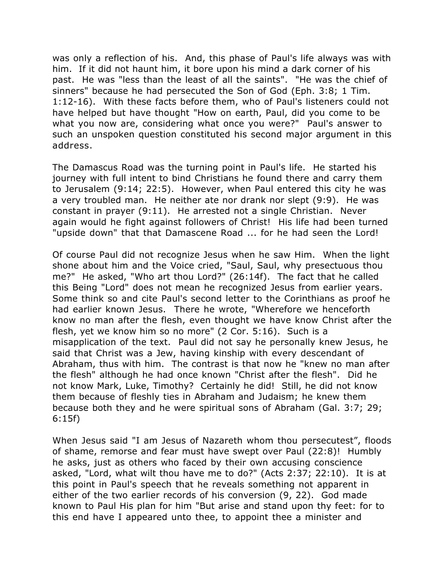was only a reflection of his. And, this phase of Paul's life always was with him. If it did not haunt him, it bore upon his mind a dark corner of his past. He was "less than the least of all the saints". "He was the chief of sinners" because he had persecuted the Son of God (Eph. 3:8; 1 Tim. 1:12-16). With these facts before them, who of Paul's listeners could not have helped but have thought "How on earth, Paul, did you come to be what you now are, considering what once you were?" Paul's answer to such an unspoken question constituted his second major argument in this address.

The Damascus Road was the turning point in Paul's life. He started his journey with full intent to bind Christians he found there and carry them to Jerusalem (9:14; 22:5). However, when Paul entered this city he was a very troubled man. He neither ate nor drank nor slept (9:9). He was constant in prayer (9:11). He arrested not a single Christian. Never again would he fight against followers of Christ! His life had been turned "upside down" that that Damascene Road ... for he had seen the Lord!

Of course Paul did not recognize Jesus when he saw Him. When the light shone about him and the Voice cried, "Saul, Saul, why presectuous thou me?" He asked, "Who art thou Lord?" (26:14f). The fact that he called this Being "Lord" does not mean he recognized Jesus from earlier years. Some think so and cite Paul's second letter to the Corinthians as proof he had earlier known Jesus. There he wrote, "Wherefore we henceforth know no man after the flesh, even thought we have know Christ after the flesh, yet we know him so no more" (2 Cor. 5:16). Such is a misapplication of the text. Paul did not say he personally knew Jesus, he said that Christ was a Jew, having kinship with every descendant of Abraham, thus with him. The contrast is that now he "knew no man after the flesh" although he had once known "Christ after the flesh". Did he not know Mark, Luke, Timothy? Certainly he did! Still, he did not know them because of fleshly ties in Abraham and Judaism; he knew them because both they and he were spiritual sons of Abraham (Gal. 3:7; 29; 6:15f)

When Jesus said "I am Jesus of Nazareth whom thou persecutest", floods of shame, remorse and fear must have swept over Paul (22:8)! Humbly he asks, just as others who faced by their own accusing conscience asked, "Lord, what wilt thou have me to do?" (Acts 2:37; 22:10). It is at this point in Paul's speech that he reveals something not apparent in either of the two earlier records of his conversion (9, 22). God made known to Paul His plan for him "But arise and stand upon thy feet: for to this end have I appeared unto thee, to appoint thee a minister and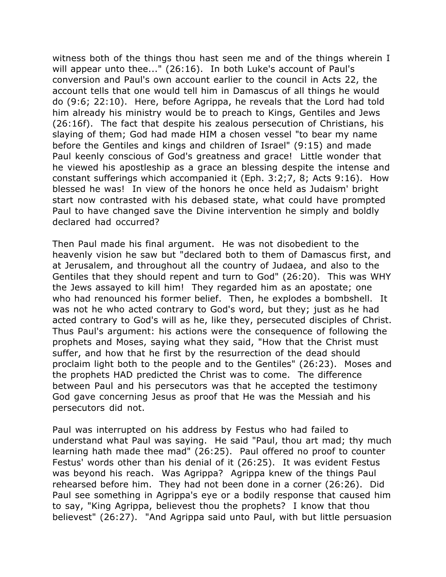witness both of the things thou hast seen me and of the things wherein I will appear unto thee..." (26:16). In both Luke's account of Paul's conversion and Paul's own account earlier to the council in Acts 22, the account tells that one would tell him in Damascus of all things he would do (9:6; 22:10). Here, before Agrippa, he reveals that the Lord had told him already his ministry would be to preach to Kings, Gentiles and Jews (26:16f). The fact that despite his zealous persecution of Christians, his slaying of them; God had made HIM a chosen vessel "to bear my name before the Gentiles and kings and children of Israel" (9:15) and made Paul keenly conscious of God's greatness and grace! Little wonder that he viewed his apostleship as a grace an blessing despite the intense and constant sufferings which accompanied it (Eph. 3:2;7, 8; Acts 9:16). How blessed he was! In view of the honors he once held as Judaism' bright start now contrasted with his debased state, what could have prompted Paul to have changed save the Divine intervention he simply and boldly declared had occurred?

Then Paul made his final argument. He was not disobedient to the heavenly vision he saw but "declared both to them of Damascus first, and at Jerusalem, and throughout all the country of Judaea, and also to the Gentiles that they should repent and turn to God" (26:20). This was WHY the Jews assayed to kill him! They regarded him as an apostate; one who had renounced his former belief. Then, he explodes a bombshell. It was not he who acted contrary to God's word, but they; just as he had acted contrary to God's will as he, like they, persecuted disciples of Christ. Thus Paul's argument: his actions were the consequence of following the prophets and Moses, saying what they said, "How that the Christ must suffer, and how that he first by the resurrection of the dead should proclaim light both to the people and to the Gentiles" (26:23). Moses and the prophets HAD predicted the Christ was to come. The difference between Paul and his persecutors was that he accepted the testimony God gave concerning Jesus as proof that He was the Messiah and his persecutors did not.

Paul was interrupted on his address by Festus who had failed to understand what Paul was saying. He said "Paul, thou art mad; thy much learning hath made thee mad" (26:25). Paul offered no proof to counter Festus' words other than his denial of it (26:25). It was evident Festus was beyond his reach. Was Agrippa? Agrippa knew of the things Paul rehearsed before him. They had not been done in a corner (26:26). Did Paul see something in Agrippa's eye or a bodily response that caused him to say, "King Agrippa, believest thou the prophets? I know that thou believest" (26:27). "And Agrippa said unto Paul, with but little persuasion